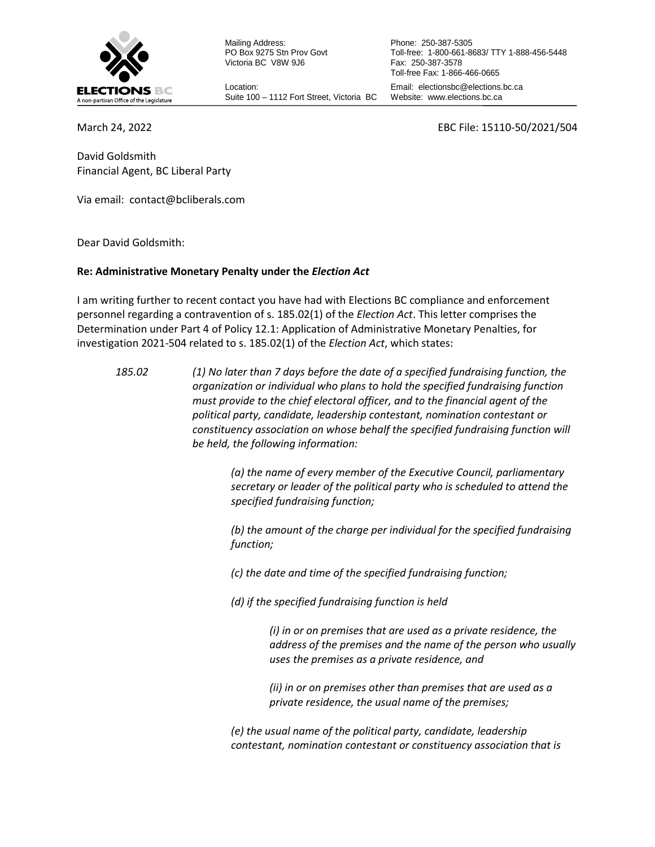

Mailing Address: PO Box 9275 Stn Prov Govt Victoria BC V8W 9J6

Location: Suite 100 – 1112 Fort Street, Victoria BC

Phone: 250-387-5305 Toll-free: 1-800-661-8683/ TTY 1-888-456-5448 Fax: 250-387-3578 Toll-free Fax: 1-866-466-0665 Email: electionsbc@elections.bc.ca Website: www.elections.bc.ca

March 24, 2022 EBC File: 15110-50/2021/504

David Goldsmith Financial Agent, BC Liberal Party

Via email: [contact@bcliberals.com](mailto:contact@bcliberals.com)

Dear David Goldsmith:

### **Re: Administrative Monetary Penalty under the** *Election Act*

I am writing further to recent contact you have had with Elections BC compliance and enforcement personnel regarding a contravention of s. 185.02(1) of the *Election Act*. This letter comprises the Determination under Part 4 of Policy 12.1: Application of Administrative Monetary Penalties, for investigation 2021-504 related to s. 185.02(1) of the *Election Act*, which states:

*185.02 (1) No later than 7 days before the date of a specified fundraising function, the organization or individual who plans to hold the specified fundraising function must provide to the chief electoral officer, and to the financial agent of the political party, candidate, leadership contestant, nomination contestant or constituency association on whose behalf the specified fundraising function will be held, the following information:*

> *(a) the name of every member of the Executive Council, parliamentary secretary or leader of the political party who is scheduled to attend the specified fundraising function;*

> *(b) the amount of the charge per individual for the specified fundraising function;*

*(c) the date and time of the specified fundraising function;*

*(d) if the specified fundraising function is held*

*(i) in or on premises that are used as a private residence, the address of the premises and the name of the person who usually uses the premises as a private residence, and*

*(ii) in or on premises other than premises that are used as a private residence, the usual name of the premises;*

*(e) the usual name of the political party, candidate, leadership contestant, nomination contestant or constituency association that is*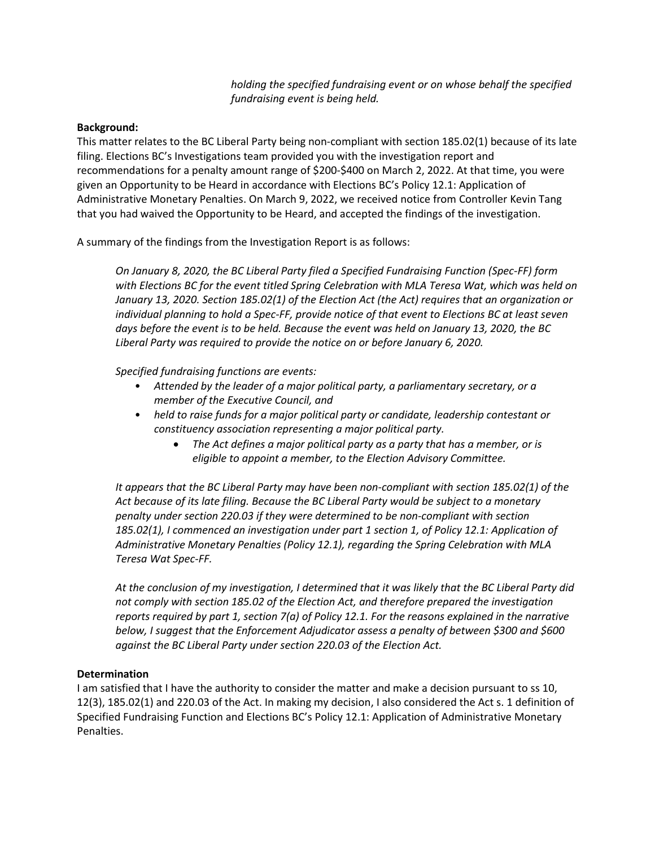*holding the specified fundraising event or on whose behalf the specified fundraising event is being held.*

## **Background:**

This matter relates to the BC Liberal Party being non-compliant with section 185.02(1) because of its late filing. Elections BC's Investigations team provided you with the investigation report and recommendations for a penalty amount range of \$200-\$400 on March 2, 2022. At that time, you were given an Opportunity to be Heard in accordance with Elections BC's Policy 12.1: Application of Administrative Monetary Penalties. On March 9, 2022, we received notice from Controller Kevin Tang that you had waived the Opportunity to be Heard, and accepted the findings of the investigation.

A summary of the findings from the Investigation Report is as follows:

*On January 8, 2020, the BC Liberal Party filed a Specified Fundraising Function (Spec-FF) form with Elections BC for the event titled Spring Celebration with MLA Teresa Wat, which was held on January 13, 2020. Section 185.02(1) of the Election Act (the Act) requires that an organization or individual planning to hold a Spec-FF, provide notice of that event to Elections BC at least seven days before the event is to be held. Because the event was held on January 13, 2020, the BC Liberal Party was required to provide the notice on or before January 6, 2020.*

*Specified fundraising functions are events:*

- *Attended by the leader of a major political party, a parliamentary secretary, or a member of the Executive Council, and*
- *held to raise funds for a major political party or candidate, leadership contestant or constituency association representing a major political party.*
	- *The Act defines a major political party as a party that has a member, or is eligible to appoint a member, to the Election Advisory Committee.*

*It appears that the BC Liberal Party may have been non-compliant with section 185.02(1) of the Act because of its late filing. Because the BC Liberal Party would be subject to a monetary penalty under section 220.03 if they were determined to be non-compliant with section 185.02(1), I commenced an investigation under part 1 section 1, of Policy 12.1: Application of Administrative Monetary Penalties (Policy 12.1), regarding the Spring Celebration with MLA Teresa Wat Spec-FF.*

*At the conclusion of my investigation, I determined that it was likely that the BC Liberal Party did not comply with section 185.02 of the Election Act, and therefore prepared the investigation reports required by part 1, section 7(a) of Policy 12.1. For the reasons explained in the narrative below, I suggest that the Enforcement Adjudicator assess a penalty of between \$300 and \$600 against the BC Liberal Party under section 220.03 of the Election Act.*

#### **Determination**

I am satisfied that I have the authority to consider the matter and make a decision pursuant to ss 10, 12(3), 185.02(1) and 220.03 of the Act. In making my decision, I also considered the Act s. 1 definition of Specified Fundraising Function and Elections BC's Policy 12.1: Application of Administrative Monetary Penalties.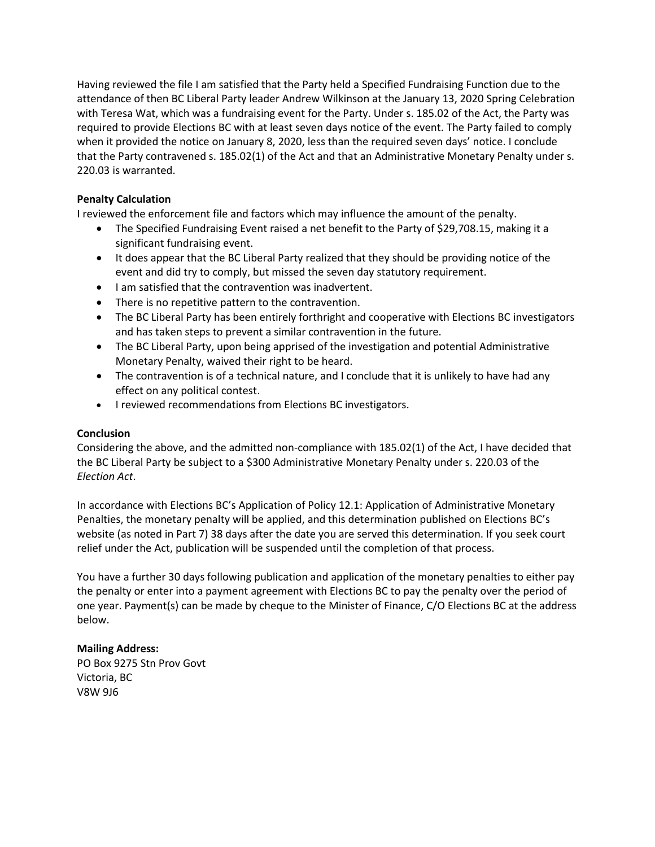Having reviewed the file I am satisfied that the Party held a Specified Fundraising Function due to the attendance of then BC Liberal Party leader Andrew Wilkinson at the January 13, 2020 Spring Celebration with Teresa Wat, which was a fundraising event for the Party. Under s. 185.02 of the Act, the Party was required to provide Elections BC with at least seven days notice of the event. The Party failed to comply when it provided the notice on January 8, 2020, less than the required seven days' notice. I conclude that the Party contravened s. 185.02(1) of the Act and that an Administrative Monetary Penalty under s. 220.03 is warranted.

# **Penalty Calculation**

I reviewed the enforcement file and factors which may influence the amount of the penalty.

- The Specified Fundraising Event raised a net benefit to the Party of \$29,708.15, making it a significant fundraising event.
- It does appear that the BC Liberal Party realized that they should be providing notice of the event and did try to comply, but missed the seven day statutory requirement.
- I am satisfied that the contravention was inadvertent.
- There is no repetitive pattern to the contravention.
- The BC Liberal Party has been entirely forthright and cooperative with Elections BC investigators and has taken steps to prevent a similar contravention in the future.
- The BC Liberal Party, upon being apprised of the investigation and potential Administrative Monetary Penalty, waived their right to be heard.
- The contravention is of a technical nature, and I conclude that it is unlikely to have had any effect on any political contest.
- I reviewed recommendations from Elections BC investigators.

# **Conclusion**

Considering the above, and the admitted non-compliance with 185.02(1) of the Act, I have decided that the BC Liberal Party be subject to a \$300 Administrative Monetary Penalty under s. 220.03 of the *Election Act*.

In accordance with Elections BC's Application of Policy 12.1: Application of Administrative Monetary Penalties, the monetary penalty will be applied, and this determination published on Elections BC's website (as noted in Part 7) 38 days after the date you are served this determination. If you seek court relief under the Act, publication will be suspended until the completion of that process.

You have a further 30 days following publication and application of the monetary penalties to either pay the penalty or enter into a payment agreement with Elections BC to pay the penalty over the period of one year. Payment(s) can be made by cheque to the Minister of Finance, C/O Elections BC at the address below.

# **Mailing Address:**

PO Box 9275 Stn Prov Govt Victoria, BC V8W 9J6